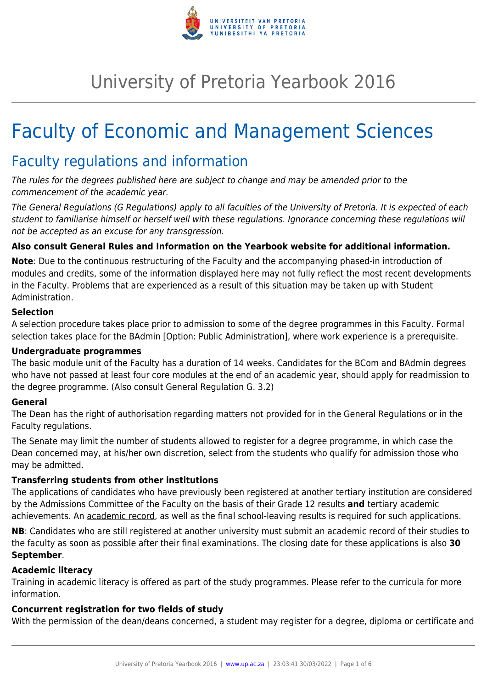

## University of Pretoria Yearbook 2016

# Faculty of Economic and Management Sciences

### Faculty regulations and information

The rules for the degrees published here are subject to change and may be amended prior to the commencement of the academic year.

The General Regulations (G Regulations) apply to all faculties of the University of Pretoria. It is expected of each student to familiarise himself or herself well with these regulations. Ignorance concerning these regulations will not be accepted as an excuse for any transgression.

#### **Also consult General Rules and Information on the Yearbook website for additional information.**

**Note**: Due to the continuous restructuring of the Faculty and the accompanying phased-in introduction of modules and credits, some of the information displayed here may not fully reflect the most recent developments in the Faculty. Problems that are experienced as a result of this situation may be taken up with Student Administration.

#### **Selection**

A selection procedure takes place prior to admission to some of the degree programmes in this Faculty. Formal selection takes place for the BAdmin [Option: Public Administration], where work experience is a prerequisite.

#### **Undergraduate programmes**

The basic module unit of the Faculty has a duration of 14 weeks. Candidates for the BCom and BAdmin degrees who have not passed at least four core modules at the end of an academic year, should apply for readmission to the degree programme. (Also consult General Regulation G. 3.2)

#### **General**

The Dean has the right of authorisation regarding matters not provided for in the General Regulations or in the Faculty regulations.

The Senate may limit the number of students allowed to register for a degree programme, in which case the Dean concerned may, at his/her own discretion, select from the students who qualify for admission those who may be admitted.

#### **Transferring students from other institutions**

The applications of candidates who have previously been registered at another tertiary institution are considered by the Admissions Committee of the Faculty on the basis of their Grade 12 results **and** tertiary academic achievements. An academic record, as well as the final school-leaving results is required for such applications.

**NB**: Candidates who are still registered at another university must submit an academic record of their studies to the faculty as soon as possible after their final examinations. The closing date for these applications is also **30 September**.

#### **Academic literacy**

Training in academic literacy is offered as part of the study programmes. Please refer to the curricula for more information.

#### **Concurrent registration for two fields of study**

With the permission of the dean/deans concerned, a student may register for a degree, diploma or certificate and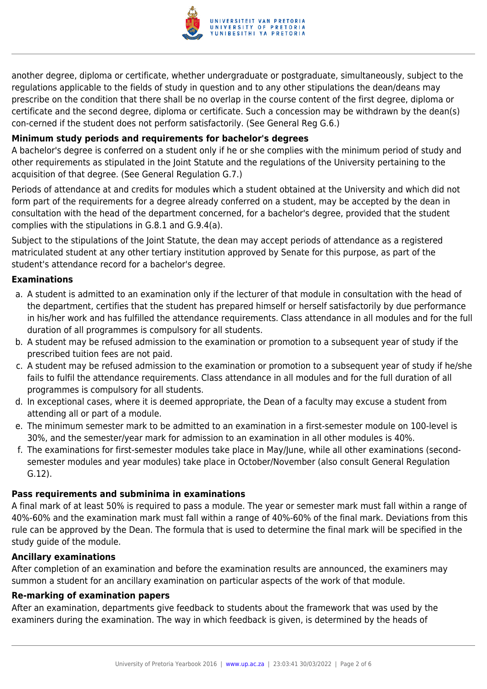

another degree, diploma or certificate, whether undergraduate or postgraduate, simultaneously, subject to the regulations applicable to the fields of study in question and to any other stipulations the dean/deans may prescribe on the condition that there shall be no overlap in the course content of the first degree, diploma or certificate and the second degree, diploma or certificate. Such a concession may be withdrawn by the dean(s) con-cerned if the student does not perform satisfactorily. (See General Reg G.6.)

#### **Minimum study periods and requirements for bachelor's degrees**

A bachelor's degree is conferred on a student only if he or she complies with the minimum period of study and other requirements as stipulated in the Joint Statute and the regulations of the University pertaining to the acquisition of that degree. (See General Regulation G.7.)

Periods of attendance at and credits for modules which a student obtained at the University and which did not form part of the requirements for a degree already conferred on a student, may be accepted by the dean in consultation with the head of the department concerned, for a bachelor's degree, provided that the student complies with the stipulations in G.8.1 and G.9.4(a).

Subject to the stipulations of the Joint Statute, the dean may accept periods of attendance as a registered matriculated student at any other tertiary institution approved by Senate for this purpose, as part of the student's attendance record for a bachelor's degree.

#### **Examinations**

- a. A student is admitted to an examination only if the lecturer of that module in consultation with the head of the department, certifies that the student has prepared himself or herself satisfactorily by due performance in his/her work and has fulfilled the attendance requirements. Class attendance in all modules and for the full duration of all programmes is compulsory for all students.
- b. A student may be refused admission to the examination or promotion to a subsequent year of study if the prescribed tuition fees are not paid.
- c. A student may be refused admission to the examination or promotion to a subsequent year of study if he/she fails to fulfil the attendance requirements. Class attendance in all modules and for the full duration of all programmes is compulsory for all students.
- d. In exceptional cases, where it is deemed appropriate, the Dean of a faculty may excuse a student from attending all or part of a module.
- e. The minimum semester mark to be admitted to an examination in a first-semester module on 100-level is 30%, and the semester/year mark for admission to an examination in all other modules is 40%.
- f. The examinations for first-semester modules take place in May/June, while all other examinations (secondsemester modules and year modules) take place in October/November (also consult General Regulation G.12).

#### **Pass requirements and subminima in examinations**

A final mark of at least 50% is required to pass a module. The year or semester mark must fall within a range of 40%-60% and the examination mark must fall within a range of 40%-60% of the final mark. Deviations from this rule can be approved by the Dean. The formula that is used to determine the final mark will be specified in the study guide of the module.

#### **Ancillary examinations**

After completion of an examination and before the examination results are announced, the examiners may summon a student for an ancillary examination on particular aspects of the work of that module.

#### **Re-marking of examination papers**

After an examination, departments give feedback to students about the framework that was used by the examiners during the examination. The way in which feedback is given, is determined by the heads of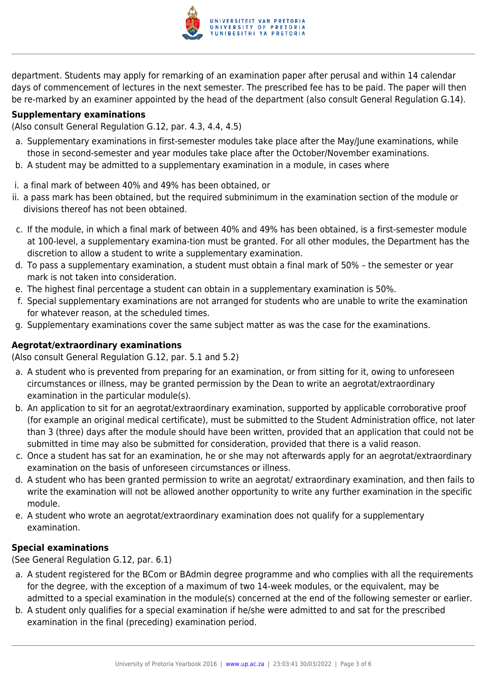

department. Students may apply for remarking of an examination paper after perusal and within 14 calendar days of commencement of lectures in the next semester. The prescribed fee has to be paid. The paper will then be re-marked by an examiner appointed by the head of the department (also consult General Regulation G.14).

#### **Supplementary examinations**

(Also consult General Regulation G.12, par. 4.3, 4.4, 4.5)

- a. Supplementary examinations in first-semester modules take place after the May/June examinations, while those in second-semester and year modules take place after the October/November examinations.
- b. A student may be admitted to a supplementary examination in a module, in cases where
- i. a final mark of between 40% and 49% has been obtained, or
- ii. a pass mark has been obtained, but the required subminimum in the examination section of the module or divisions thereof has not been obtained.
- c. If the module, in which a final mark of between 40% and 49% has been obtained, is a first-semester module at 100-level, a supplementary examina-tion must be granted. For all other modules, the Department has the discretion to allow a student to write a supplementary examination.
- d. To pass a supplementary examination, a student must obtain a final mark of 50% the semester or year mark is not taken into consideration.
- e. The highest final percentage a student can obtain in a supplementary examination is 50%.
- f. Special supplementary examinations are not arranged for students who are unable to write the examination for whatever reason, at the scheduled times.
- g. Supplementary examinations cover the same subject matter as was the case for the examinations.

#### **Aegrotat/extraordinary examinations**

(Also consult General Regulation G.12, par. 5.1 and 5.2)

- a. A student who is prevented from preparing for an examination, or from sitting for it, owing to unforeseen circumstances or illness, may be granted permission by the Dean to write an aegrotat/extraordinary examination in the particular module(s).
- b. An application to sit for an aegrotat/extraordinary examination, supported by applicable corroborative proof (for example an original medical certificate), must be submitted to the Student Administration office, not later than 3 (three) days after the module should have been written, provided that an application that could not be submitted in time may also be submitted for consideration, provided that there is a valid reason.
- c. Once a student has sat for an examination, he or she may not afterwards apply for an aegrotat/extraordinary examination on the basis of unforeseen circumstances or illness.
- d. A student who has been granted permission to write an aegrotat/ extraordinary examination, and then fails to write the examination will not be allowed another opportunity to write any further examination in the specific module.
- e. A student who wrote an aegrotat/extraordinary examination does not qualify for a supplementary examination.

#### **Special examinations**

(See General Regulation G.12, par. 6.1)

- a. A student registered for the BCom or BAdmin degree programme and who complies with all the requirements for the degree, with the exception of a maximum of two 14-week modules, or the equivalent, may be admitted to a special examination in the module(s) concerned at the end of the following semester or earlier.
- b. A student only qualifies for a special examination if he/she were admitted to and sat for the prescribed examination in the final (preceding) examination period.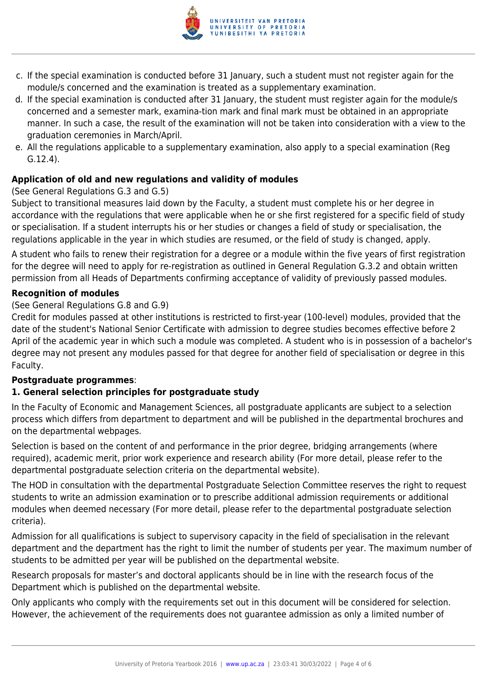

- c. If the special examination is conducted before 31 January, such a student must not register again for the module/s concerned and the examination is treated as a supplementary examination.
- d. If the special examination is conducted after 31 January, the student must register again for the module/s concerned and a semester mark, examina-tion mark and final mark must be obtained in an appropriate manner. In such a case, the result of the examination will not be taken into consideration with a view to the graduation ceremonies in March/April.
- e. All the regulations applicable to a supplementary examination, also apply to a special examination (Reg G.12.4).

#### **Application of old and new regulations and validity of modules**

#### (See General Regulations G.3 and G.5)

Subject to transitional measures laid down by the Faculty, a student must complete his or her degree in accordance with the regulations that were applicable when he or she first registered for a specific field of study or specialisation. If a student interrupts his or her studies or changes a field of study or specialisation, the regulations applicable in the year in which studies are resumed, or the field of study is changed, apply.

A student who fails to renew their registration for a degree or a module within the five years of first registration for the degree will need to apply for re-registration as outlined in General Regulation G.3.2 and obtain written permission from all Heads of Departments confirming acceptance of validity of previously passed modules.

#### **Recognition of modules**

#### (See General Regulations G.8 and G.9)

Credit for modules passed at other institutions is restricted to first-year (100-level) modules, provided that the date of the student's National Senior Certificate with admission to degree studies becomes effective before 2 April of the academic year in which such a module was completed. A student who is in possession of a bachelor's degree may not present any modules passed for that degree for another field of specialisation or degree in this Faculty.

#### **Postgraduate programmes**:

#### **1. General selection principles for postgraduate study**

In the Faculty of Economic and Management Sciences, all postgraduate applicants are subject to a selection process which differs from department to department and will be published in the departmental brochures and on the departmental webpages.

Selection is based on the content of and performance in the prior degree, bridging arrangements (where required), academic merit, prior work experience and research ability (For more detail, please refer to the departmental postgraduate selection criteria on the departmental website).

The HOD in consultation with the departmental Postgraduate Selection Committee reserves the right to request students to write an admission examination or to prescribe additional admission requirements or additional modules when deemed necessary (For more detail, please refer to the departmental postgraduate selection criteria).

Admission for all qualifications is subject to supervisory capacity in the field of specialisation in the relevant department and the department has the right to limit the number of students per year. The maximum number of students to be admitted per year will be published on the departmental website.

Research proposals for master's and doctoral applicants should be in line with the research focus of the Department which is published on the departmental website.

Only applicants who comply with the requirements set out in this document will be considered for selection. However, the achievement of the requirements does not guarantee admission as only a limited number of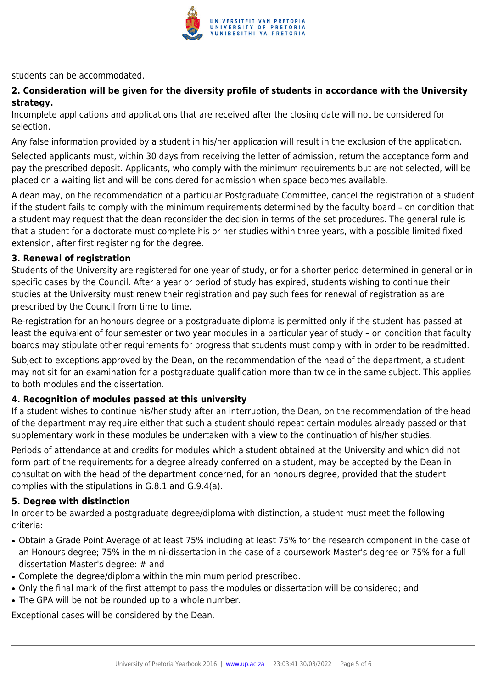

students can be accommodated.

#### **2. Consideration will be given for the diversity profile of students in accordance with the University strategy.**

Incomplete applications and applications that are received after the closing date will not be considered for selection.

Any false information provided by a student in his/her application will result in the exclusion of the application.

Selected applicants must, within 30 days from receiving the letter of admission, return the acceptance form and pay the prescribed deposit. Applicants, who comply with the minimum requirements but are not selected, will be placed on a waiting list and will be considered for admission when space becomes available.

A dean may, on the recommendation of a particular Postgraduate Committee, cancel the registration of a student if the student fails to comply with the minimum requirements determined by the faculty board – on condition that a student may request that the dean reconsider the decision in terms of the set procedures. The general rule is that a student for a doctorate must complete his or her studies within three years, with a possible limited fixed extension, after first registering for the degree.

#### **3. Renewal of registration**

Students of the University are registered for one year of study, or for a shorter period determined in general or in specific cases by the Council. After a year or period of study has expired, students wishing to continue their studies at the University must renew their registration and pay such fees for renewal of registration as are prescribed by the Council from time to time.

Re-registration for an honours degree or a postgraduate diploma is permitted only if the student has passed at least the equivalent of four semester or two year modules in a particular year of study – on condition that faculty boards may stipulate other requirements for progress that students must comply with in order to be readmitted.

Subject to exceptions approved by the Dean, on the recommendation of the head of the department, a student may not sit for an examination for a postgraduate qualification more than twice in the same subject. This applies to both modules and the dissertation.

#### **4. Recognition of modules passed at this university**

If a student wishes to continue his/her study after an interruption, the Dean, on the recommendation of the head of the department may require either that such a student should repeat certain modules already passed or that supplementary work in these modules be undertaken with a view to the continuation of his/her studies.

Periods of attendance at and credits for modules which a student obtained at the University and which did not form part of the requirements for a degree already conferred on a student, may be accepted by the Dean in consultation with the head of the department concerned, for an honours degree, provided that the student complies with the stipulations in G.8.1 and G.9.4(a).

#### **5. Degree with distinction**

In order to be awarded a postgraduate degree/diploma with distinction, a student must meet the following criteria:

- Obtain a Grade Point Average of at least 75% including at least 75% for the research component in the case of an Honours degree; 75% in the mini-dissertation in the case of a coursework Master's degree or 75% for a full dissertation Master's degree: # and
- Complete the degree/diploma within the minimum period prescribed.
- Only the final mark of the first attempt to pass the modules or dissertation will be considered; and
- The GPA will be not be rounded up to a whole number.

Exceptional cases will be considered by the Dean.